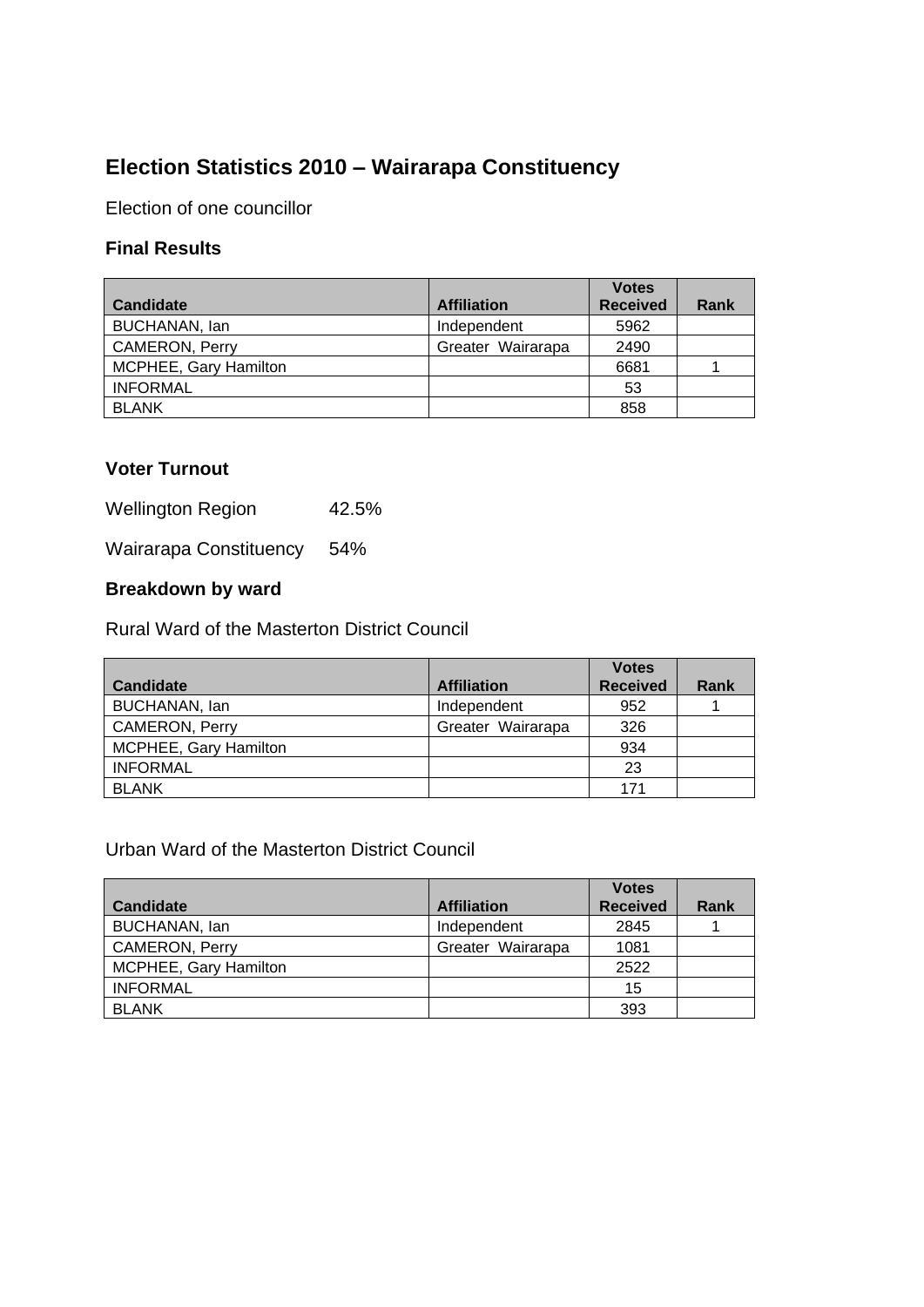# **Election Statistics 2010 – Wairarapa Constituency**

Election of one councillor

## **Final Results**

| <b>Candidate</b>             | <b>Affiliation</b> | <b>Votes</b><br><b>Received</b> | Rank |
|------------------------------|--------------------|---------------------------------|------|
| BUCHANAN, lan                | Independent        | 5962                            |      |
| CAMERON, Perry               | Greater Wairarapa  | 2490                            |      |
| <b>MCPHEE, Gary Hamilton</b> |                    | 6681                            |      |
| <b>INFORMAL</b>              |                    | 53                              |      |
| <b>BLANK</b>                 |                    | 858                             |      |

## **Voter Turnout**

Wellington Region 42.5%

Wairarapa Constituency 54%

## **Breakdown by ward**

Rural Ward of the Masterton District Council

|                       |                    | <b>Votes</b>    |             |
|-----------------------|--------------------|-----------------|-------------|
| <b>Candidate</b>      | <b>Affiliation</b> | <b>Received</b> | <b>Rank</b> |
| BUCHANAN, Ian         | Independent        | 952             |             |
| <b>CAMERON, Perry</b> | Greater Wairarapa  | 326             |             |
| MCPHEE, Gary Hamilton |                    | 934             |             |
| <b>INFORMAL</b>       |                    | 23              |             |
| <b>BLANK</b>          |                    | 171             |             |

#### Urban Ward of the Masterton District Council

|                              |                    | <b>Votes</b>    |      |
|------------------------------|--------------------|-----------------|------|
| <b>Candidate</b>             | <b>Affiliation</b> | <b>Received</b> | Rank |
| BUCHANAN, lan                | Independent        | 2845            |      |
| <b>CAMERON, Perry</b>        | Greater Wairarapa  | 1081            |      |
| <b>MCPHEE, Gary Hamilton</b> |                    | 2522            |      |
| <b>INFORMAL</b>              |                    | 15              |      |
| <b>BLANK</b>                 |                    | 393             |      |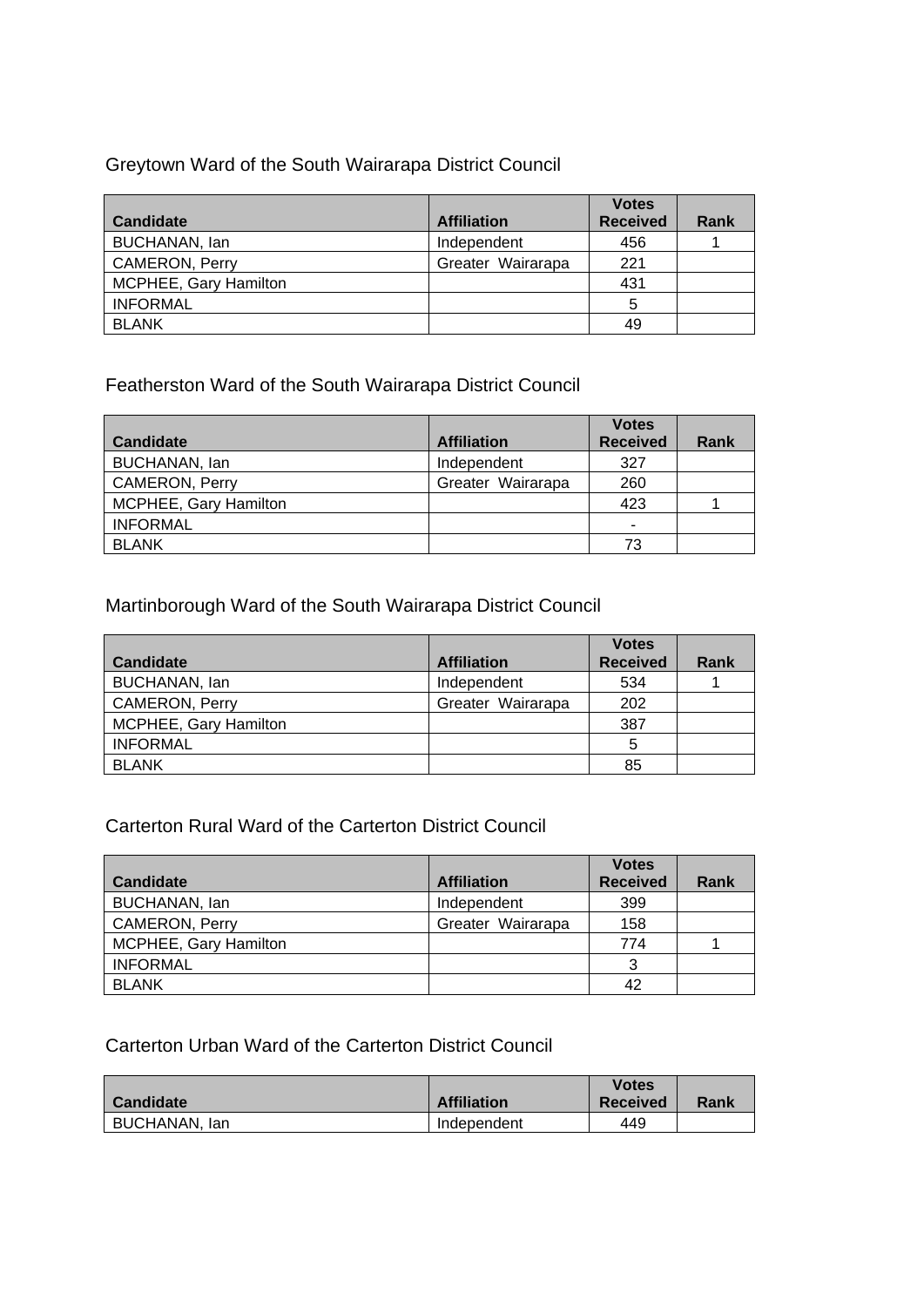## Greytown Ward of the South Wairarapa District Council

|                       |                    | <b>Votes</b>    |      |
|-----------------------|--------------------|-----------------|------|
| <b>Candidate</b>      | <b>Affiliation</b> | <b>Received</b> | Rank |
| BUCHANAN, lan         | Independent        | 456             |      |
| <b>CAMERON, Perry</b> | Greater Wairarapa  | 221             |      |
| MCPHEE, Gary Hamilton |                    | 431             |      |
| <b>INFORMAL</b>       |                    | 5               |      |
| <b>BLANK</b>          |                    | 49              |      |

# Featherston Ward of the South Wairarapa District Council

|                       |                    | <b>Votes</b>    |             |
|-----------------------|--------------------|-----------------|-------------|
| <b>Candidate</b>      | <b>Affiliation</b> | <b>Received</b> | <b>Rank</b> |
| BUCHANAN, Ian         | Independent        | 327             |             |
| <b>CAMERON, Perry</b> | Greater Wairarapa  | 260             |             |
| MCPHEE, Gary Hamilton |                    | 423             |             |
| <b>INFORMAL</b>       |                    | $\blacksquare$  |             |
| <b>BLANK</b>          |                    | 73              |             |

# Martinborough Ward of the South Wairarapa District Council

|                       |                    | <b>Votes</b>    |      |
|-----------------------|--------------------|-----------------|------|
| <b>Candidate</b>      | <b>Affiliation</b> | <b>Received</b> | Rank |
| BUCHANAN, lan         | Independent        | 534             |      |
| <b>CAMERON, Perry</b> | Greater Wairarapa  | 202             |      |
| MCPHEE, Gary Hamilton |                    | 387             |      |
| <b>INFORMAL</b>       |                    | 5               |      |
| <b>BLANK</b>          |                    | 85              |      |

#### Carterton Rural Ward of the Carterton District Council

|                       |                    | <b>Votes</b>    |      |
|-----------------------|--------------------|-----------------|------|
| <b>Candidate</b>      | <b>Affiliation</b> | <b>Received</b> | Rank |
| BUCHANAN, lan         | Independent        | 399             |      |
| CAMERON, Perry        | Greater Wairarapa  | 158             |      |
| MCPHEE, Gary Hamilton |                    | 774             |      |
| <b>INFORMAL</b>       |                    | 3               |      |
| <b>BLANK</b>          |                    | 42              |      |

#### Carterton Urban Ward of the Carterton District Council

| <b>Candidate</b> | <b>Affiliation</b> | Votes<br><b>Received</b> | Rank |
|------------------|--------------------|--------------------------|------|
| BUCHANAN, Ian    | Independent        | 449                      |      |